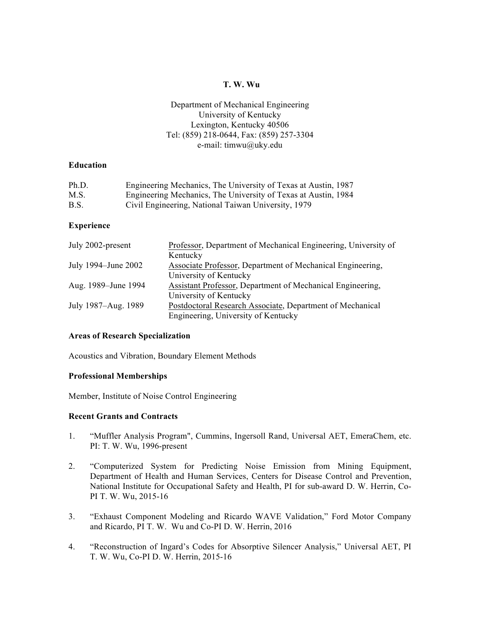# **T. W. Wu**

# Department of Mechanical Engineering University of Kentucky Lexington, Kentucky 40506 Tel: (859) 218-0644, Fax: (859) 257-3304 e-mail: timwu@uky.edu

## **Education**

| Ph.D. | Engineering Mechanics, The University of Texas at Austin, 1987 |
|-------|----------------------------------------------------------------|
| M.S.  | Engineering Mechanics, The University of Texas at Austin, 1984 |
| B.S.  | Civil Engineering, National Taiwan University, 1979            |

## **Experience**

| July 2002-present   | Professor, Department of Mechanical Engineering, University of |
|---------------------|----------------------------------------------------------------|
|                     | Kentucky                                                       |
| July 1994–June 2002 | Associate Professor, Department of Mechanical Engineering,     |
|                     | University of Kentucky                                         |
| Aug. 1989–June 1994 | Assistant Professor, Department of Mechanical Engineering,     |
|                     | University of Kentucky                                         |
| July 1987–Aug. 1989 | Postdoctoral Research Associate, Department of Mechanical      |
|                     | Engineering, University of Kentucky                            |

#### **Areas of Research Specialization**

Acoustics and Vibration, Boundary Element Methods

## **Professional Memberships**

Member, Institute of Noise Control Engineering

## **Recent Grants and Contracts**

- 1. "Muffler Analysis Program", Cummins, Ingersoll Rand, Universal AET, EmeraChem, etc. PI: T. W. Wu, 1996-present
- 2. "Computerized System for Predicting Noise Emission from Mining Equipment, Department of Health and Human Services, Centers for Disease Control and Prevention, National Institute for Occupational Safety and Health, PI for sub-award D. W. Herrin, Co-PI T. W. Wu, 2015-16
- 3. "Exhaust Component Modeling and Ricardo WAVE Validation," Ford Motor Company and Ricardo, PI T. W. Wu and Co-PI D. W. Herrin, 2016
- 4. "Reconstruction of Ingard's Codes for Absorptive Silencer Analysis," Universal AET, PI T. W. Wu, Co-PI D. W. Herrin, 2015-16